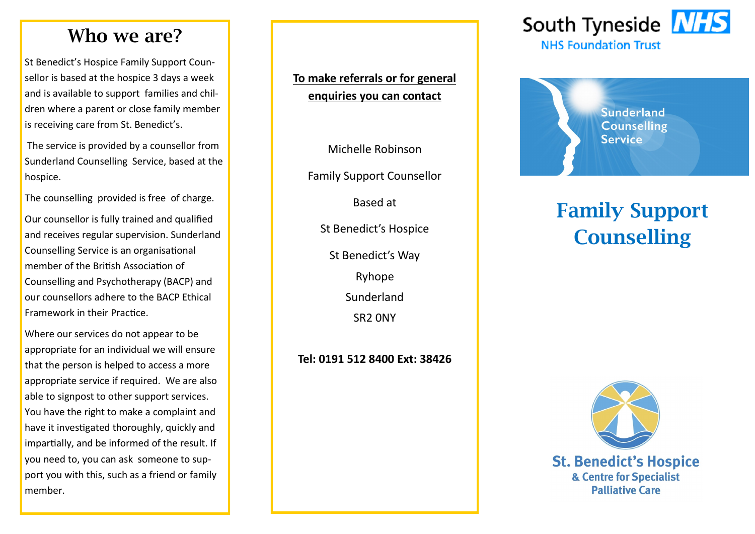### **Who we are?**

St Benedict's Hospice Family Support Counsellor is based at the hospice 3 days a week and is available to support families and children where a parent or close family member is receiving care from St. Benedict's.

The service is provided by a counsellor from Sunderland Counselling Service, based at the hospice.

The counselling provided is free of charge.

Our counsellor is fully trained and qualified and receives regular supervision. Sunderland Counselling Service is an organisational member of the British Association of Counselling and Psychotherapy (BACP) and our counsellors adhere to the BACP Ethical Framework in their Practice.

Where our services do not appear to be appropriate for an individual we will ensure that the person is helped to access a more appropriate service if required. We are also able to signpost to other support services. You have the right to make a complaint and have it investigated thoroughly, quickly and impartially, and be informed of the result. If you need to, you can ask someone to support you with this, such as a friend or family member.

#### **To make referrals or for general enquiries you can contact**

Michelle Robinson

Family Support Counsellor

Based at

St Benedict's Hospice

St Benedict's Way

Ryhope

Sunderland

SR2 0NY

**Tel: 0191 512 8400 Ext: 38426**





# **Family Support Counselling**